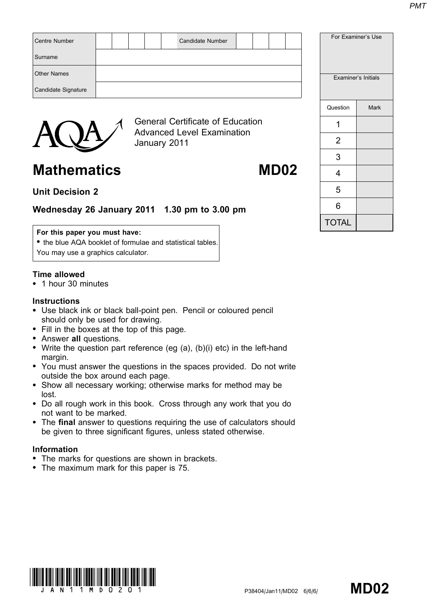| <b>Centre Number</b>                         |  |  |  |  | <b>Candidate Number</b> |  |  |  |          | For Examiner's Use  |
|----------------------------------------------|--|--|--|--|-------------------------|--|--|--|----------|---------------------|
| Surname                                      |  |  |  |  |                         |  |  |  |          |                     |
| <b>Other Names</b>                           |  |  |  |  |                         |  |  |  |          | Examiner's Initials |
| Candidate Signature                          |  |  |  |  |                         |  |  |  |          |                     |
|                                              |  |  |  |  |                         |  |  |  | Question | <b>Mark</b>         |
| <b>General Certificate of Education</b><br>. |  |  |  |  |                         |  |  |  |          |                     |



Advanced Level Examination January 2011

# Mathematics MD02

# Unit Decision 2

# Wednesday 26 January 2011 1.30 pm to 3.00 pm

#### For this paper you must have:

- the blue AQA booklet of formulae and statistical tables.
- You may use a graphics calculator.

### Time allowed

\* 1 hour 30 minutes

#### **Instructions**

- \* Use black ink or black ball-point pen. Pencil or coloured pencil should only be used for drawing.
- Fill in the boxes at the top of this page.
- Answer all questions.
- Write the question part reference (eg  $(a)$ ,  $(b)(i)$  etc) in the left-hand margin.
- \* You must answer the questions in the spaces provided. Do not write outside the box around each page.
- \* Show all necessary working; otherwise marks for method may be lost.
- Do all rough work in this book. Cross through any work that you do not want to be marked.
- The final answer to questions requiring the use of calculators should be given to three significant figures, unless stated otherwise.

#### Information

- The marks for questions are shown in brackets.
- The maximum mark for this paper is 75.





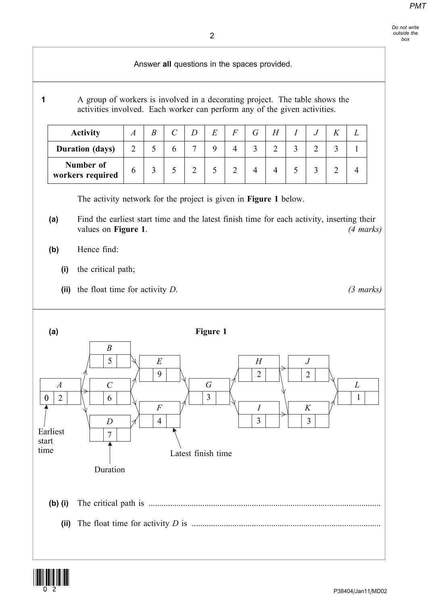

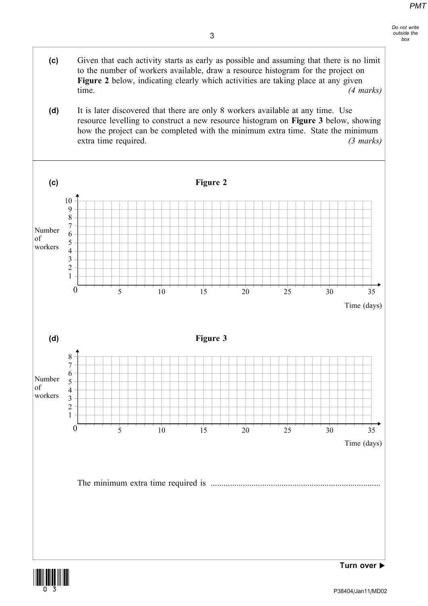- (c) Given that each activity starts as early as possible and assuming that there is no limit to the number of workers available, draw a resource histogram for the project on Figure 2 below, indicating clearly which activities are taking place at any given time. (4 marks)
- (d) It is later discovered that there are only 8 workers available at any time. Use resource levelling to construct a new resource histogram on Figure 3 below, showing how the project can be completed with the minimum extra time. State the minimum extra time required. (3 marks)



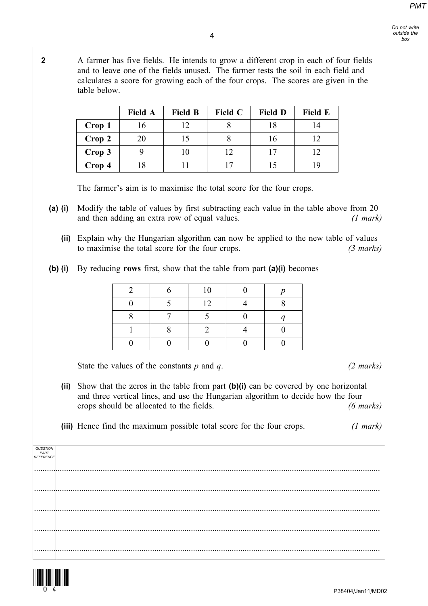Do not write outside the box

2 A farmer has five fields. He intends to grow a different crop in each of four fields and to leave one of the fields unused. The farmer tests the soil in each field and calculates a score for growing each of the four crops. The scores are given in the table below.

|        | <b>Field A</b> | <b>Field B</b> | Field C | <b>Field D</b> | Field E |
|--------|----------------|----------------|---------|----------------|---------|
| Crop 1 | 16             | 12             |         | 18             | 14      |
| Crop 2 | 20             |                |         | 16             |         |
| Crop 3 |                |                | 12      |                |         |
| Crop 4 | 18             |                |         |                |         |

The farmer's aim is to maximise the total score for the four crops.

- (a) (i) Modify the table of values by first subtracting each value in the table above from 20 and then adding an extra row of equal values. (1 mark)
	- (ii) Explain why the Hungarian algorithm can now be applied to the new table of values to maximise the total score for the four crops. (3 marks)
- (b) (i) By reducing rows first, show that the table from part  $(a)(i)$  becomes

|  | 10 | $\boldsymbol{r}$ |
|--|----|------------------|
|  | 12 |                  |
|  |    |                  |
|  |    |                  |
|  |    |                  |

State the values of the constants  $p$  and  $q$ . (2 marks)

- (ii) Show that the zeros in the table from part (b)(i) can be covered by one horizontal and three vertical lines, and use the Hungarian algorithm to decide how the four crops should be allocated to the fields. (6 marks)
- (iii) Hence find the maximum possible total score for the four crops. (1 mark)

| QUESTION<br>PART<br>REFERENCE |  |
|-------------------------------|--|
|                               |  |
|                               |  |
|                               |  |
|                               |  |
|                               |  |

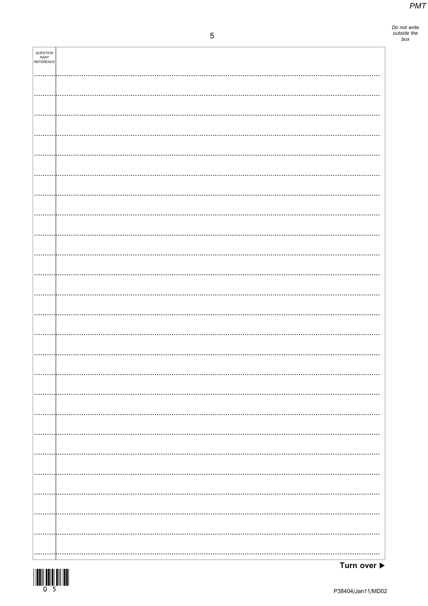Do not write<br>outside the<br>box

| QUESTION<br>PART<br>REFERENCE |  |
|-------------------------------|--|
|                               |  |
|                               |  |
|                               |  |
|                               |  |
|                               |  |
|                               |  |
|                               |  |
|                               |  |
|                               |  |
|                               |  |
|                               |  |
|                               |  |
|                               |  |
|                               |  |
|                               |  |
|                               |  |
|                               |  |
|                               |  |
|                               |  |
|                               |  |
|                               |  |
|                               |  |
|                               |  |
|                               |  |

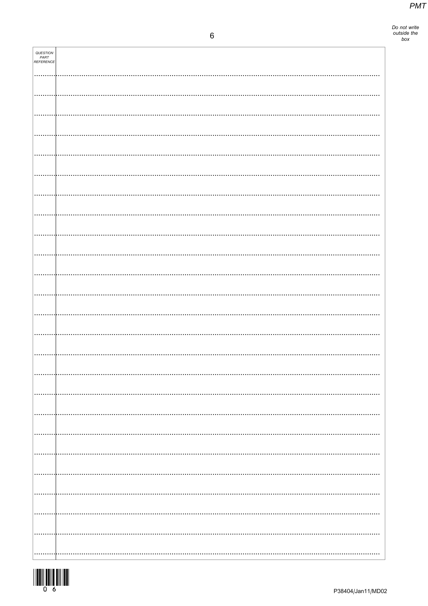Do not write<br>outside the<br>box

| QUESTION<br>PART<br>REFERENCE<br>$\ddotsc$ |  |
|--------------------------------------------|--|
|                                            |  |
|                                            |  |
|                                            |  |
|                                            |  |
|                                            |  |
|                                            |  |
|                                            |  |
|                                            |  |
|                                            |  |
|                                            |  |
|                                            |  |
|                                            |  |
|                                            |  |
|                                            |  |
|                                            |  |
|                                            |  |
|                                            |  |
|                                            |  |
|                                            |  |
|                                            |  |
|                                            |  |
|                                            |  |
|                                            |  |
|                                            |  |
|                                            |  |
|                                            |  |
|                                            |  |
|                                            |  |
|                                            |  |
|                                            |  |
|                                            |  |
|                                            |  |
|                                            |  |
|                                            |  |
|                                            |  |
|                                            |  |
|                                            |  |
|                                            |  |
|                                            |  |
|                                            |  |
|                                            |  |
|                                            |  |
|                                            |  |
|                                            |  |
|                                            |  |
|                                            |  |
|                                            |  |
|                                            |  |
|                                            |  |

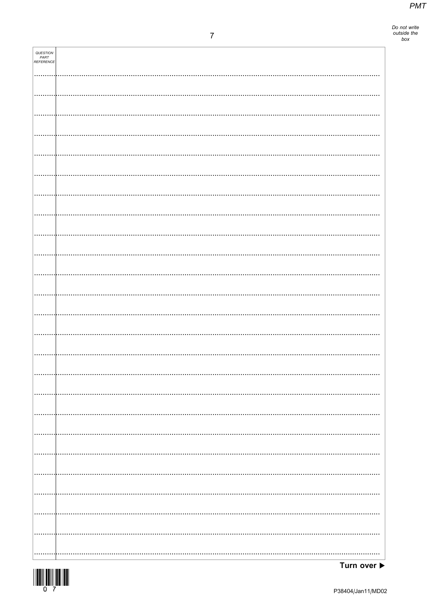Do not write<br>outside the<br>box

| QUESTION<br>PART<br>REFERENCE |  |
|-------------------------------|--|
|                               |  |
|                               |  |
|                               |  |
|                               |  |
|                               |  |
|                               |  |
|                               |  |
|                               |  |
|                               |  |
|                               |  |
|                               |  |
|                               |  |
|                               |  |
|                               |  |
|                               |  |
|                               |  |
|                               |  |
|                               |  |
|                               |  |
|                               |  |
|                               |  |
|                               |  |
|                               |  |
|                               |  |
|                               |  |
|                               |  |

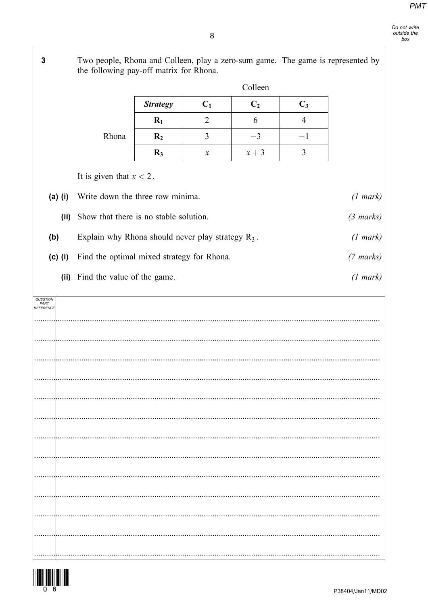Two people, Rhona and Colleen, play a zero-sum game. The game is represented by  $\overline{3}$ the following pay-off matrix for Rhona. Colleen **Strategy**  $C<sub>1</sub>$  $C<sub>2</sub>$  $C_3$  $\overline{2}$  $R_1$ 6  $\overline{4}$ Rhona  $R<sub>2</sub>$ 3  $-3$  $-1$  $R_3$  $\overline{3}$  $x + 3$  $\mathcal{X}$ It is given that  $x < 2$ . (a) (i) Write down the three row minima.  $(1 mark)$ (ii) Show that there is no stable solution.  $(3 \text{ marks})$  $(b)$ Explain why Rhona should never play strategy  $R_3$ .  $(1 mark)$  $(c)$  (i) Find the optimal mixed strategy for Rhona.  $(7 \text{ marks})$ (ii) Find the value of the game.  $(1 mark)$ QUESTION<br>PART<br>REFERENCE 

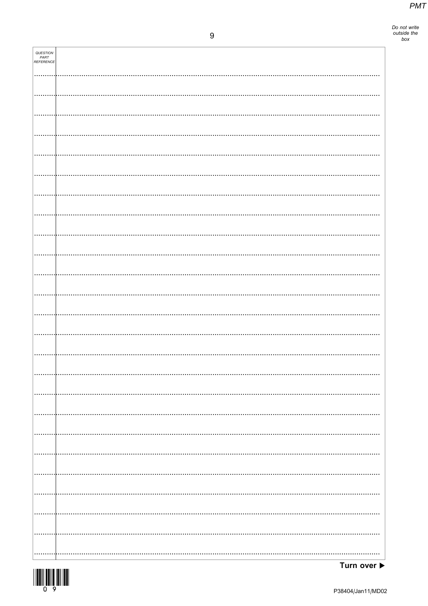Do not write<br>outside the<br>box

| QUESTION<br>PART<br>REFERENCE |  |
|-------------------------------|--|
|                               |  |
|                               |  |
|                               |  |
|                               |  |
|                               |  |
|                               |  |
|                               |  |
|                               |  |
|                               |  |
|                               |  |
|                               |  |
|                               |  |
|                               |  |
|                               |  |
|                               |  |
|                               |  |
|                               |  |
|                               |  |
|                               |  |
|                               |  |
|                               |  |
|                               |  |
|                               |  |
|                               |  |

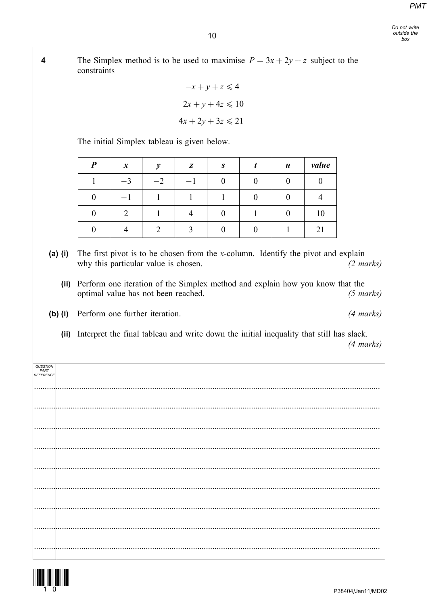Do not write<br>outside the<br>box

**PMT** 



4 The Simplex method is to be used to maximise 
$$
P = 3x + 2y + z
$$
 subject to the  
constraints  
\t\t\t\t $-x + y + z \le 4$   
\t\t\t\t $2x + y + 4z \le 10$   
\t\t\t\t $4x + 2y + 3z \le 21$   
\t\t\tThe initial Simplex tableau is given below.  
\t\t\t\t $P$  x y z s t u value  
\t\t\t\t $1$  3  $-2$  -1 0 0 0 0 0  
\t\t\t\t $0$  0 1 0 1  
\t\t\t\t $0$  1 0 1 0  
\t\t\t\t $0$  4 2 3 0 0 1 21  
\n(a) (i) The first pivot is to be chosen from the x-column. Identify the pivot and explain  
\t\t\t\t\t $2$  *marks*  
\t\t\t\t\t\t $2$  3 0 0 1 21  
\n(a) (i) The first pivot is to be chosen from the x-column. Identify the pivot and explain  
\t\t\t\t\t $2$  *marks*  
\t\t\t\t\t $2$  *marks*  
\t\t\t\t\t\t $2$  *downes*  
\t\t\t\t\t\t $2$  *downes*  
\t\t\t\t\t $2$  *downes*  
\t\t\t\t\t $2$  *downes*  
\t\t\t\t\t\t $2$  *downes*  
\t\t\t\t\t $2$  *downes*  
\t\t\t\t\t $2$  *downes*  
\t\t\t\t\t $2$  *downes*  
\t\t\t\t\t $2$  *downes*  
\t\t\t\t\t $2$  *downes*  
\t\t\t\t\t $2$  *downes*  
\t\t\t\t\t $2$  *downes*  
\t\t\t\t\t $2$  *downes*  
\t\t\t\t\t $2$  *downes*  
\t\t\t\t\t $2$  *downes*  
\t\t\t\t\t $2$  *downes*  
\t\t\t\t\t $2$  *downes*  
\

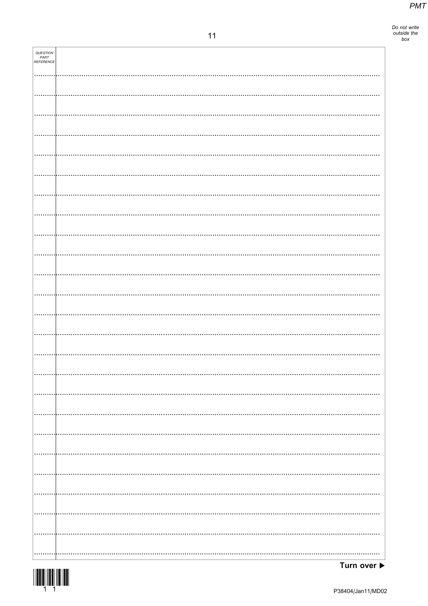Do not write<br>outside the<br>box

| QUESTION<br>PART<br>REFERENCE |  |
|-------------------------------|--|
|                               |  |
|                               |  |
|                               |  |
|                               |  |
|                               |  |
|                               |  |
|                               |  |
|                               |  |
|                               |  |
|                               |  |
|                               |  |
|                               |  |
|                               |  |
|                               |  |
|                               |  |
|                               |  |
|                               |  |
|                               |  |
|                               |  |
|                               |  |
|                               |  |
|                               |  |
|                               |  |
|                               |  |

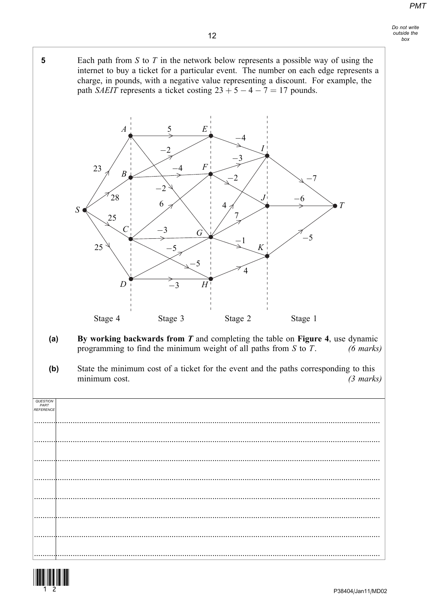5 Each path from S to T in the network below represents a possible way of using the internet to buy a ticket for a particular event. The number on each edge represents a charge, in pounds, with a negative value representing a discount. For example, the path *SAEIT* represents a ticket costing  $23 + 5 - 4 - 7 = 17$  pounds.



- (a) By working backwards from  $T$  and completing the table on Figure 4, use dynamic programming to find the minimum weight of all paths from  $S$  to  $T$ . (6 marks)
- (b) State the minimum cost of a ticket for the event and the paths corresponding to this minimum cost. (3 marks)



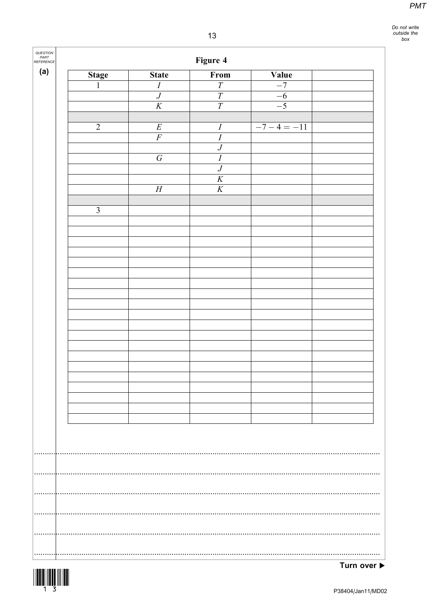Do not write<br>outside the<br>box

| I<br>۰, | ٠<br>۰.<br>٠<br>۰.<br>۰.<br>., |
|---------|--------------------------------|
|         |                                |

QUESTION<br>PART

| $\sim$ |  |
|--------|--|

| <b>QUESTION<br/>PART<br/>REFERENCE</b> |                |                | Figure 4                         |                |  |
|----------------------------------------|----------------|----------------|----------------------------------|----------------|--|
| (a)                                    | <b>Stage</b>   | <b>State</b>   | From                             | Value          |  |
|                                        | $\mathbf{1}$   | $\cal I$       | $\cal T$                         | $-\mathbf{7}$  |  |
|                                        |                | $\overline{J}$ | $\overline{T}$                   | $-6$           |  |
|                                        |                | $\overline{K}$ | $\overline{T}$                   | $-5$           |  |
|                                        |                |                |                                  |                |  |
|                                        | $\overline{2}$ | $\overline{E}$ | $\overline{I}$                   | $-7 - 4 = -11$ |  |
|                                        |                | $\overline F$  | $\overline{I}$                   |                |  |
|                                        |                |                | $\boldsymbol{J}$                 |                |  |
|                                        |                | $\cal G$       | $\cal I$                         |                |  |
|                                        |                |                | $\overline{J}$                   |                |  |
|                                        |                | $\overline{H}$ | $\overline{K}$<br>$\overline{K}$ |                |  |
|                                        |                |                |                                  |                |  |
|                                        | $\overline{3}$ |                |                                  |                |  |
|                                        |                |                |                                  |                |  |
|                                        |                |                |                                  |                |  |
|                                        |                |                |                                  |                |  |
|                                        |                |                |                                  |                |  |
|                                        |                |                |                                  |                |  |
|                                        |                |                |                                  |                |  |
|                                        |                |                |                                  |                |  |
|                                        |                |                |                                  |                |  |
|                                        |                |                |                                  |                |  |
|                                        |                |                |                                  |                |  |
|                                        |                |                |                                  |                |  |
|                                        |                |                |                                  |                |  |
|                                        |                |                |                                  |                |  |
|                                        |                |                |                                  |                |  |
|                                        |                |                |                                  |                |  |
|                                        |                |                |                                  |                |  |
|                                        |                |                |                                  |                |  |
|                                        |                |                |                                  |                |  |
|                                        |                |                |                                  |                |  |
|                                        |                |                |                                  |                |  |
|                                        |                |                |                                  |                |  |
|                                        |                |                |                                  |                |  |
|                                        |                |                |                                  |                |  |
|                                        |                |                |                                  |                |  |
|                                        |                |                |                                  |                |  |
|                                        |                |                |                                  |                |  |
|                                        |                |                |                                  |                |  |
|                                        |                |                |                                  |                |  |
|                                        |                |                |                                  |                |  |
|                                        |                |                |                                  |                |  |
|                                        |                |                |                                  |                |  |
|                                        |                |                |                                  |                |  |



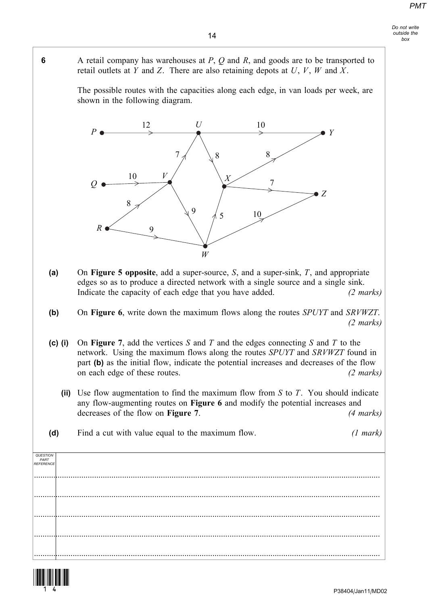6 A retail company has warehouses at P, Q and R, and goods are to be transported to retail outlets at Y and Z. There are also retaining depots at  $U, V, W$  and X.

> The possible routes with the capacities along each edge, in van loads per week, are shown in the following diagram.



- (a) On Figure 5 opposite, add a super-source, S, and a super-sink,  $T$ , and appropriate edges so as to produce a directed network with a single source and a single sink. Indicate the capacity of each edge that you have added. (2 marks)
- (b) On Figure 6, write down the maximum flows along the routes  $SPUYT$  and  $SRVWZT$ . (2 marks)
- (c) (i) On Figure 7, add the vertices S and T and the edges connecting S and T to the network. Using the maximum flows along the routes SPUYT and SRVWZT found in part (b) as the initial flow, indicate the potential increases and decreases of the flow on each edge of these routes. (2 marks)
	- (ii) Use flow augmentation to find the maximum flow from  $S$  to  $T$ . You should indicate any flow-augmenting routes on Figure 6 and modify the potential increases and decreases of the flow on **Figure 7**. (4 marks)

(d) Find a cut with value equal to the maximum flow.  $(1 \text{ mark})$ 

| QUESTION<br>PART<br>REFERENCE |  |
|-------------------------------|--|
|                               |  |
|                               |  |
|                               |  |
|                               |  |
|                               |  |



P38404/Jan11/MD02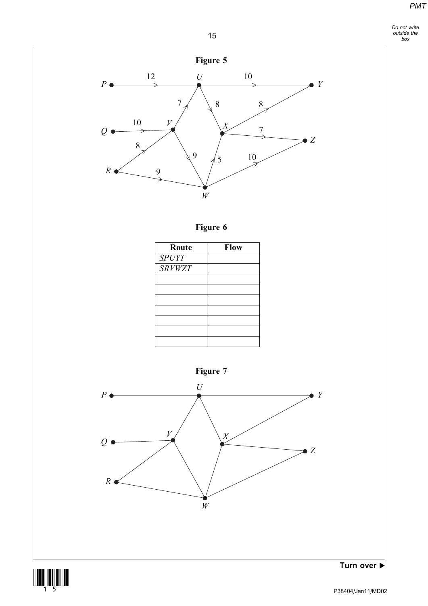Do not write outside the box





| Route         | <b>Flow</b> |
|---------------|-------------|
| <b>SPUYT</b>  |             |
| <b>SRVWZT</b> |             |
|               |             |
|               |             |
|               |             |
|               |             |
|               |             |
|               |             |
|               |             |